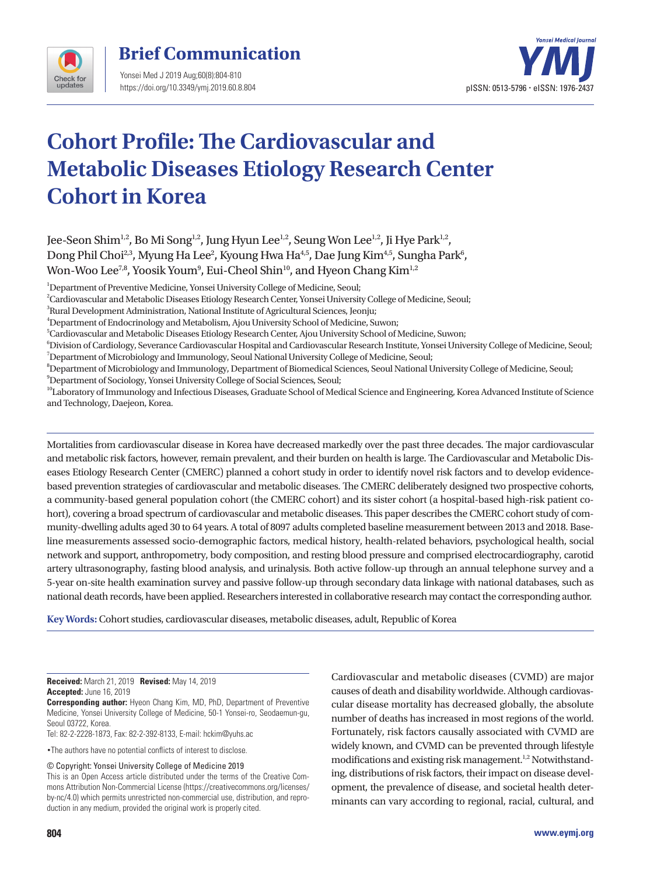

## **Brief Communication**

Yonsei Med J 2019 Aug;60(8):804-810 https://doi.org/10.3349/ymj.2019.60.8.804



# **Cohort Profile: The Cardiovascular and Metabolic Diseases Etiology Research Center Cohort in Korea**

Jee-Seon Shim<sup>1,2</sup>, Bo Mi Song<sup>1,2</sup>, Jung Hyun Lee<sup>1,2</sup>, Seung Won Lee<sup>1,2</sup>, Ji Hye Park<sup>1,2</sup>, Dong Phil Choi $^{2,3}$ , Myung Ha Lee $^{2}$ , Kyoung Hwa Ha $^{4,5}$ , Dae Jung Kim $^{4,5}$ , Sungha Park $^{6}$ , Won-Woo Lee $^{7,8}$ , Yoosik Youm $^9$ , Eui-Cheol Shin $^{10}$ , and Hyeon Chang Kim $^{1,2}$ 

<sup>1</sup>Department of Preventive Medicine, Yonsei University College of Medicine, Seoul;

2 Cardiovascular and Metabolic Diseases Etiology Research Center, Yonsei University College of Medicine, Seoul;

<sup>3</sup>Rural Development Administration, National Institute of Agricultural Sciences, Jeonju;

4 Department of Endocrinology and Metabolism, Ajou University School of Medicine, Suwon;

5 Cardiovascular and Metabolic Diseases Etiology Research Center, Ajou University School of Medicine, Suwon;

6 Division of Cardiology, Severance Cardiovascular Hospital and Cardiovascular Research Institute, Yonsei University College of Medicine, Seoul; 7 Department of Microbiology and Immunology, Seoul National University College of Medicine, Seoul;

8 Department of Microbiology and Immunology, Department of Biomedical Sciences, Seoul National University College of Medicine, Seoul;

9 Department of Sociology, Yonsei University College of Social Sciences, Seoul;

<sup>10</sup>Laboratory of Immunology and Infectious Diseases, Graduate School of Medical Science and Engineering, Korea Advanced Institute of Science and Technology, Daejeon, Korea.

Mortalities from cardiovascular disease in Korea have decreased markedly over the past three decades. The major cardiovascular and metabolic risk factors, however, remain prevalent, and their burden on health is large. The Cardiovascular and Metabolic Diseases Etiology Research Center (CMERC) planned a cohort study in order to identify novel risk factors and to develop evidencebased prevention strategies of cardiovascular and metabolic diseases. The CMERC deliberately designed two prospective cohorts, a community-based general population cohort (the CMERC cohort) and its sister cohort (a hospital-based high-risk patient cohort), covering a broad spectrum of cardiovascular and metabolic diseases. This paper describes the CMERC cohort study of community-dwelling adults aged 30 to 64 years. A total of 8097 adults completed baseline measurement between 2013 and 2018. Baseline measurements assessed socio-demographic factors, medical history, health-related behaviors, psychological health, social network and support, anthropometry, body composition, and resting blood pressure and comprised electrocardiography, carotid artery ultrasonography, fasting blood analysis, and urinalysis. Both active follow-up through an annual telephone survey and a 5-year on-site health examination survey and passive follow-up through secondary data linkage with national databases, such as national death records, have been applied. Researchers interested in collaborative research may contact the corresponding author.

**Key Words:** Cohort studies, cardiovascular diseases, metabolic diseases, adult, Republic of Korea

**Received:** March 21, 2019 **Revised:** May 14, 2019 **Accepted:** June 16, 2019

**Corresponding author:** Hyeon Chang Kim, MD, PhD, Department of Preventive Medicine, Yonsei University College of Medicine, 50-1 Yonsei-ro, Seodaemun-gu, Seoul 03722, Korea.

Tel: 82-2-2228-1873, Fax: 82-2-392-8133, E-mail: hckim@yuhs.ac

•The authors have no potential conflicts of interest to disclose.

© Copyright: Yonsei University College of Medicine 2019

This is an Open Access article distributed under the terms of the Creative Commons Attribution Non-Commercial License (https://creativecommons.org/licenses/ by-nc/4.0) which permits unrestricted non-commercial use, distribution, and reproduction in any medium, provided the original work is properly cited.

Cardiovascular and metabolic diseases (CVMD) are major causes of death and disability worldwide. Although cardiovascular disease mortality has decreased globally, the absolute number of deaths has increased in most regions of the world. Fortunately, risk factors causally associated with CVMD are widely known, and CVMD can be prevented through lifestyle modifications and existing risk management.<sup>1,2</sup> Notwithstanding, distributions of risk factors, their impact on disease development, the prevalence of disease, and societal health determinants can vary according to regional, racial, cultural, and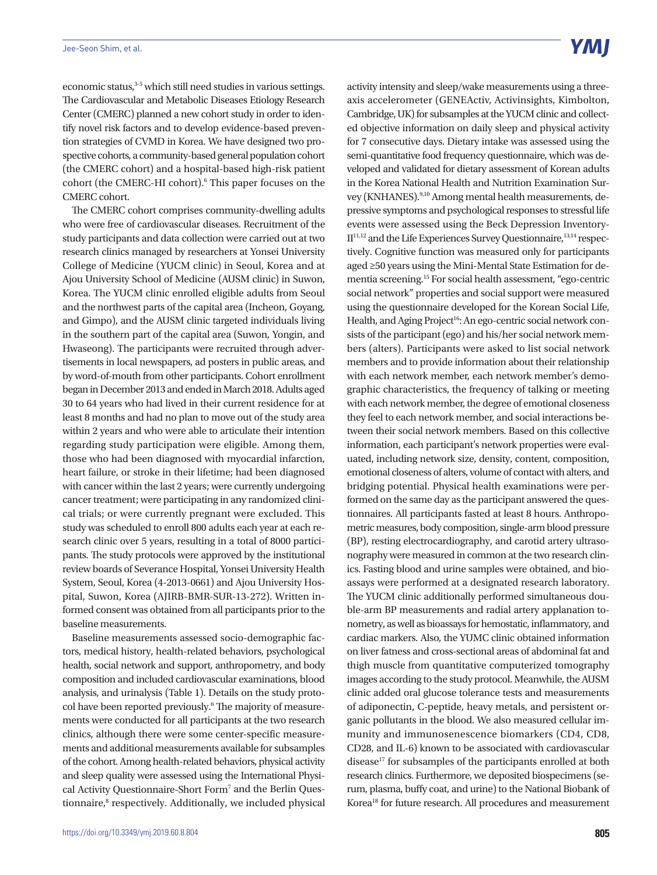economic status,<sup>3-5</sup> which still need studies in various settings. The Cardiovascular and Metabolic Diseases Etiology Research Center (CMERC) planned a new cohort study in order to identify novel risk factors and to develop evidence-based prevention strategies of CVMD in Korea. We have designed two prospective cohorts, a community-based general population cohort (the CMERC cohort) and a hospital-based high-risk patient cohort (the CMERC-HI cohort).<sup>6</sup> This paper focuses on the CMERC cohort.

The CMERC cohort comprises community-dwelling adults who were free of cardiovascular diseases. Recruitment of the study participants and data collection were carried out at two research clinics managed by researchers at Yonsei University College of Medicine (YUCM clinic) in Seoul, Korea and at Ajou University School of Medicine (AUSM clinic) in Suwon, Korea. The YUCM clinic enrolled eligible adults from Seoul and the northwest parts of the capital area (Incheon, Goyang, and Gimpo), and the AUSM clinic targeted individuals living in the southern part of the capital area (Suwon, Yongin, and Hwaseong). The participants were recruited through advertisements in local newspapers, ad posters in public areas, and by word-of-mouth from other participants. Cohort enrollment began in December 2013 and ended in March 2018. Adults aged 30 to 64 years who had lived in their current residence for at least 8 months and had no plan to move out of the study area within 2 years and who were able to articulate their intention regarding study participation were eligible. Among them, those who had been diagnosed with myocardial infarction, heart failure, or stroke in their lifetime; had been diagnosed with cancer within the last 2 years; were currently undergoing cancer treatment; were participating in any randomized clinical trials; or were currently pregnant were excluded. This study was scheduled to enroll 800 adults each year at each research clinic over 5 years, resulting in a total of 8000 participants. The study protocols were approved by the institutional review boards of Severance Hospital, Yonsei University Health System, Seoul, Korea (4-2013-0661) and Ajou University Hospital, Suwon, Korea (AJIRB-BMR-SUR-13-272). Written informed consent was obtained from all participants prior to the baseline measurements.

Baseline measurements assessed socio-demographic factors, medical history, health-related behaviors, psychological health, social network and support, anthropometry, and body composition and included cardiovascular examinations, blood analysis, and urinalysis (Table 1). Details on the study protocol have been reported previously.<sup>6</sup> The majority of measurements were conducted for all participants at the two research clinics, although there were some center-specific measurements and additional measurements available for subsamples of the cohort. Among health-related behaviors, physical activity and sleep quality were assessed using the International Physical Activity Questionnaire-Short Form<sup>7</sup> and the Berlin Questionnaire,<sup>8</sup> respectively. Additionally, we included physical activity intensity and sleep/wake measurements using a threeaxis accelerometer (GENEActiv, Activinsights, Kimbolton, Cambridge, UK) for subsamples at the YUCM clinic and collected objective information on daily sleep and physical activity for 7 consecutive days. Dietary intake was assessed using the semi-quantitative food frequency questionnaire, which was developed and validated for dietary assessment of Korean adults in the Korea National Health and Nutrition Examination Survey (KNHANES).<sup>9,10</sup> Among mental health measurements, depressive symptoms and psychological responses to stressful life events were assessed using the Beck Depression Inventory- $II<sup>11,12</sup>$  and the Life Experiences Survey Questionnaire,<sup>13,14</sup> respectively. Cognitive function was measured only for participants aged ≥50 years using the Mini-Mental State Estimation for dementia screening.15 For social health assessment, "ego-centric social network" properties and social support were measured using the questionnaire developed for the Korean Social Life, Health, and Aging Project<sup>16</sup>: An ego-centric social network consists of the participant (ego) and his/her social network members (alters). Participants were asked to list social network members and to provide information about their relationship with each network member, each network member's demographic characteristics, the frequency of talking or meeting with each network member, the degree of emotional closeness they feel to each network member, and social interactions between their social network members. Based on this collective information, each participant's network properties were evaluated, including network size, density, content, composition, emotional closeness of alters, volume of contact with alters, and bridging potential. Physical health examinations were performed on the same day as the participant answered the questionnaires. All participants fasted at least 8 hours. Anthropometric measures, body composition, single-arm blood pressure (BP), resting electrocardiography, and carotid artery ultrasonography were measured in common at the two research clinics. Fasting blood and urine samples were obtained, and bioassays were performed at a designated research laboratory. The YUCM clinic additionally performed simultaneous double-arm BP measurements and radial artery applanation tonometry, as well as bioassays for hemostatic, inflammatory, and cardiac markers. Also, the YUMC clinic obtained information on liver fatness and cross-sectional areas of abdominal fat and thigh muscle from quantitative computerized tomography images according to the study protocol. Meanwhile, the AUSM clinic added oral glucose tolerance tests and measurements of adiponectin, C-peptide, heavy metals, and persistent organic pollutants in the blood. We also measured cellular immunity and immunosenescence biomarkers (CD4, CD8, CD28, and IL-6) known to be associated with cardiovascular disease<sup>17</sup> for subsamples of the participants enrolled at both research clinics. Furthermore, we deposited biospecimens (serum, plasma, buffy coat, and urine) to the National Biobank of Korea18 for future research. All procedures and measurement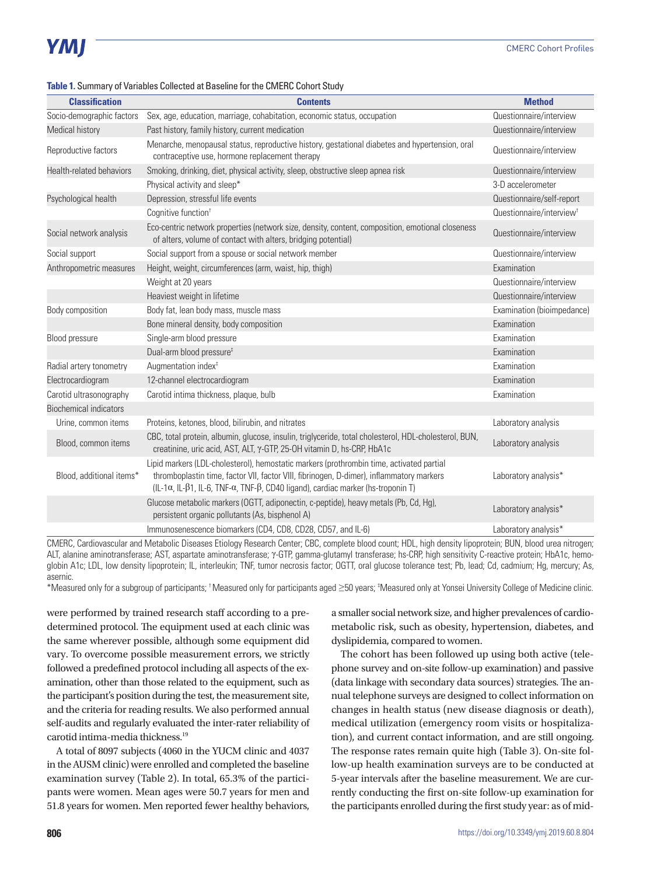#### **Table 1.** Summary of Variables Collected at Baseline for the CMERC Cohort Study

| <b>Classification</b>         | <b>Contents</b>                                                                                                                                                                                                                                                                                           | <b>Method</b>                        |
|-------------------------------|-----------------------------------------------------------------------------------------------------------------------------------------------------------------------------------------------------------------------------------------------------------------------------------------------------------|--------------------------------------|
| Socio-demographic factors     | Sex, age, education, marriage, cohabitation, economic status, occupation                                                                                                                                                                                                                                  | Questionnaire/interview              |
| Medical history               | Past history, family history, current medication                                                                                                                                                                                                                                                          | Questionnaire/interview              |
| Reproductive factors          | Menarche, menopausal status, reproductive history, gestational diabetes and hypertension, oral<br>contraceptive use, hormone replacement therapy                                                                                                                                                          | Questionnaire/interview              |
| Health-related behaviors      | Smoking, drinking, diet, physical activity, sleep, obstructive sleep apnea risk                                                                                                                                                                                                                           | Questionnaire/interview              |
|                               | Physical activity and sleep*                                                                                                                                                                                                                                                                              | 3-D accelerometer                    |
| Psychological health          | Depression, stressful life events                                                                                                                                                                                                                                                                         | Questionnaire/self-report            |
|                               | Cognitive function <sup>†</sup>                                                                                                                                                                                                                                                                           | Questionnaire/interview <sup>t</sup> |
| Social network analysis       | Eco-centric network properties (network size, density, content, composition, emotional closeness<br>of alters, volume of contact with alters, bridging potential)                                                                                                                                         | Questionnaire/interview              |
| Social support                | Social support from a spouse or social network member                                                                                                                                                                                                                                                     | Questionnaire/interview              |
| Anthropometric measures       | Height, weight, circumferences (arm, waist, hip, thigh)                                                                                                                                                                                                                                                   | Examination                          |
|                               | Weight at 20 years                                                                                                                                                                                                                                                                                        | Questionnaire/interview              |
|                               | Heaviest weight in lifetime                                                                                                                                                                                                                                                                               | Questionnaire/interview              |
| Body composition              | Body fat, lean body mass, muscle mass                                                                                                                                                                                                                                                                     | Examination (bioimpedance)           |
|                               | Bone mineral density, body composition                                                                                                                                                                                                                                                                    | Examination                          |
| Blood pressure                | Single-arm blood pressure                                                                                                                                                                                                                                                                                 | Examination                          |
|                               | Dual-arm blood pressure <sup>#</sup>                                                                                                                                                                                                                                                                      | Examination                          |
| Radial artery tonometry       | Augmentation index <sup>#</sup>                                                                                                                                                                                                                                                                           | Examination                          |
| Electrocardiogram             | 12-channel electrocardiogram                                                                                                                                                                                                                                                                              | Examination                          |
| Carotid ultrasonography       | Carotid intima thickness, plaque, bulb                                                                                                                                                                                                                                                                    | Examination                          |
| <b>Biochemical indicators</b> |                                                                                                                                                                                                                                                                                                           |                                      |
| Urine, common items           | Proteins, ketones, blood, bilirubin, and nitrates                                                                                                                                                                                                                                                         | Laboratory analysis                  |
| Blood, common items           | CBC, total protein, albumin, glucose, insulin, triglyceride, total cholesterol, HDL-cholesterol, BUN,<br>creatinine, uric acid, AST, ALT, $\gamma$ -GTP, 25-OH vitamin D, hs-CRP, HbA1c                                                                                                                   | Laboratory analysis                  |
| Blood, additional items*      | Lipid markers (LDL-cholesterol), hemostatic markers (prothrombin time, activated partial<br>thromboplastin time, factor VII, factor VIII, fibrinogen, D-dimer), inflammatory markers<br>(IL-1 $\alpha$ , IL- $\beta$ 1, IL-6, TNF- $\alpha$ , TNF- $\beta$ , CD40 ligand), cardiac marker (hs-troponin T) | Laboratory analysis*                 |
|                               | Glucose metabolic markers (OGTT, adiponectin, c-peptide), heavy metals (Pb, Cd, Hg),<br>persistent organic pollutants (As, bisphenol A)                                                                                                                                                                   | Laboratory analysis*                 |
|                               | Immunosenescence biomarkers (CD4, CD8, CD28, CD57, and IL-6)                                                                                                                                                                                                                                              | Laboratory analysis*                 |

CMERC, Cardiovascular and Metabolic Diseases Etiology Research Center; CBC, complete blood count; HDL, high density lipoprotein; BUN, blood urea nitrogen; ALT, alanine aminotransferase; AST, aspartate aminotransferase; γ-GTP, gamma-glutamyl transferase; hs-CRP, high sensitivity C-reactive protein; HbA1c, hemoglobin A1c; LDL, low density lipoprotein; IL, interleukin; TNF, tumor necrosis factor; OGTT, oral glucose tolerance test; Pb, lead; Cd, cadmium; Hg, mercury; As, asernic.

\*Measured only for a subgroup of participants; †Measured only for participants aged ≥50 years; ‡ Measured only at Yonsei University College of Medicine clinic.

were performed by trained research staff according to a predetermined protocol. The equipment used at each clinic was the same wherever possible, although some equipment did vary. To overcome possible measurement errors, we strictly followed a predefined protocol including all aspects of the examination, other than those related to the equipment, such as the participant's position during the test, the measurement site, and the criteria for reading results. We also performed annual self-audits and regularly evaluated the inter-rater reliability of carotid intima-media thickness.<sup>19</sup>

A total of 8097 subjects (4060 in the YUCM clinic and 4037 in the AUSM clinic) were enrolled and completed the baseline examination survey (Table 2). In total, 65.3% of the participants were women. Mean ages were 50.7 years for men and 51.8 years for women. Men reported fewer healthy behaviors,

a smaller social network size, and higher prevalences of cardiometabolic risk, such as obesity, hypertension, diabetes, and dyslipidemia, compared to women.

The cohort has been followed up using both active (telephone survey and on-site follow-up examination) and passive (data linkage with secondary data sources) strategies. The annual telephone surveys are designed to collect information on changes in health status (new disease diagnosis or death), medical utilization (emergency room visits or hospitalization), and current contact information, and are still ongoing. The response rates remain quite high (Table 3). On-site follow-up health examination surveys are to be conducted at 5-year intervals after the baseline measurement. We are currently conducting the first on-site follow-up examination for the participants enrolled during the first study year: as of mid-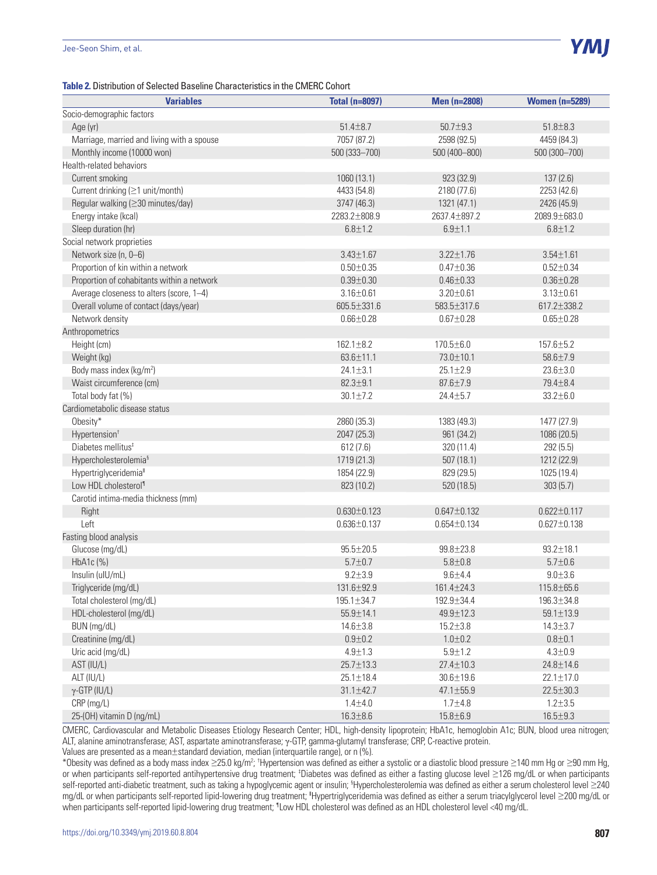

#### **Table 2.** Distribution of Selected Baseline Characteristics in the CMERC Cohort

| <b>Variables</b>                           | <b>Total (n=8097)</b> | Men (n=2808)      | <b>Women (n=5289)</b> |
|--------------------------------------------|-----------------------|-------------------|-----------------------|
| Socio-demographic factors                  |                       |                   |                       |
| Age (yr)                                   | $51.4 \pm 8.7$        | $50.7 + 9.3$      | $51.8 + 8.3$          |
| Marriage, married and living with a spouse | 7057 (87.2)           | 2598 (92.5)       | 4459 (84.3)           |
| Monthly income (10000 won)                 | 500 (333-700)         | 500 (400-800)     | 500 (300-700)         |
| Health-related behaviors                   |                       |                   |                       |
| Current smoking                            | 1060 (13.1)           | 923 (32.9)        | 137(2.6)              |
| Current drinking (≥1 unit/month)           | 4433 (54.8)           | 2180 (77.6)       | 2253 (42.6)           |
| Regular walking (≥30 minutes/day)          | 3747 (46.3)           | 1321 (47.1)       | 2426 (45.9)           |
| Energy intake (kcal)                       | 2283.2±808.9          | 2637.4±897.2      | 2089.9±683.0          |
| Sleep duration (hr)                        | $6.8 + 1.2$           | $6.9 + 1.1$       | $6.8 + 1.2$           |
| Social network proprieties                 |                       |                   |                       |
| Network size (n, 0-6)                      | $3.43 \pm 1.67$       | $3.22 \pm 1.76$   | $3.54 \pm 1.61$       |
| Proportion of kin within a network         | $0.50 + 0.35$         | $0.47 + 0.36$     | $0.52 \pm 0.34$       |
| Proportion of cohabitants within a network | $0.39 + 0.30$         | $0.46 + 0.33$     | $0.36 + 0.28$         |
| Average closeness to alters (score, 1-4)   | $3.16 \pm 0.61$       | $3.20 \pm 0.61$   | $3.13 \pm 0.61$       |
| Overall volume of contact (days/year)      | 605.5±331.6           | 583.5±317.6       | 617.2±338.2           |
| Network density                            | $0.66 \pm 0.28$       | $0.67 + 0.28$     | $0.65 \pm 0.28$       |
| Anthropometrics                            |                       |                   |                       |
| Height (cm)                                | $162.1 \pm 8.2$       | 170.5±6.0         | 157.6±5.2             |
| Weight (kg)                                | $63.6 \pm 11.1$       | 73.0±10.1         | $58.6 \pm 7.9$        |
| Body mass index (kg/m <sup>2</sup> )       | $24.1 \pm 3.1$        | $25.1 \pm 2.9$    | $23.6 + 3.0$          |
| Waist circumference (cm)                   | $82.3 + 9.1$          | $87.6 \pm 7.9$    | 79.4 ± 8.4            |
| Total body fat (%)                         | $30.1 \pm 7.2$        | 24.4±5.7          | $33.2 + 6.0$          |
| Cardiometabolic disease status             |                       |                   |                       |
| Obesity*                                   | 2860 (35.3)           | 1383 (49.3)       | 1477 (27.9)           |
| Hypertension <sup>+</sup>                  | 2047 (25.3)           | 961 (34.2)        | 1086 (20.5)           |
| Diabetes mellitus <sup>#</sup>             | 612(7.6)              | 320 (11.4)        | 292(5.5)              |
| Hypercholesterolemia <sup>§</sup>          | 1719 (21.3)           | 507(18.1)         | 1212 (22.9)           |
| Hypertriglyceridemia <sup>®</sup>          | 1854 (22.9)           | 829 (29.5)        | 1025 (19.4)           |
| Low HDL cholesterol <sup>1</sup>           | 823 (10.2)            | 520 (18.5)        | 303(5.7)              |
| Carotid intima-media thickness (mm)        |                       |                   |                       |
| Right                                      | $0.630 \pm 0.123$     | $0.647 \pm 0.132$ | $0.622 \pm 0.117$     |
| Left                                       | $0.636 \pm 0.137$     | $0.654 \pm 0.134$ | $0.627 \pm 0.138$     |
| Fasting blood analysis                     |                       |                   |                       |
| Glucose (mg/dL)                            | $95.5 \pm 20.5$       | 99.8±23.8         | $93.2 \pm 18.1$       |
| HbA1c(%)                                   | $5.7 + 0.7$           | $5.8 + 0.8$       | $5.7 + 0.6$           |
| Insulin (ulU/mL)                           | $9.2 + 3.9$           | $9.6 + 4.4$       | $9.0 + 3.6$           |
| Triglyceride (mg/dL)                       | 131.6±92.9            | 161.4±24.3        | 115.8±65.6            |
| Total cholesterol (mg/dL)                  | $195.1 \pm 34.7$      | 192.9±34.4        | 196.3±34.8            |
| HDL-cholesterol (mg/dL)                    | $55.9 \pm 14.1$       | 49.9±12.3         | $59.1 \pm 13.9$       |
| BUN (mg/dL)                                | $14.6 + 3.8$          | $15.2 \pm 3.8$    | $14.3 \pm 3.7$        |
| Creatinine (mg/dL)                         | $0.9 + 0.2$           | $1.0 + 0.2$       | $0.8 + 0.1$           |
| Uric acid (mg/dL)                          | $4.9 + 1.3$           | $5.9 \pm 1.2$     | $4.3 + 0.9$           |
| AST (IU/L)                                 | $25.7 \pm 13.3$       | 27.4±10.3         | $24.8 \pm 14.6$       |
| ALT (IU/L)                                 | $25.1 \pm 18.4$       | $30.6 \pm 19.6$   | $22.1 \pm 17.0$       |
| $\gamma$ -GTP (IU/L)                       | $31.1 \pm 42.7$       | 47.1±55.9         | 22.5±30.3             |
| CRP (mg/L)                                 | $1.4 + 4.0$           | $1.7 + 4.8$       | $1.2 \pm 3.5$         |
| 25-(OH) vitamin D (ng/mL)                  | $16.3 \pm 8.6$        | $15.8 \pm 6.9$    | $16.5 \pm 9.3$        |

CMERC, Cardiovascular and Metabolic Diseases Etiology Research Center; HDL, high-density lipoprotein; HbA1c, hemoglobin A1c; BUN, blood urea nitrogen; ALT, alanine aminotransferase; AST, aspartate aminotransferase; γ-GTP, gamma-glutamyl transferase; CRP, C-reactive protein.

Values are presented as a mean±standard deviation, median (interquartile range), or n (%).

\*Obesity was defined as a body mass index ≥25.0 kg/m<sup>2</sup>; †Hypertension was defined as either a systolic or a diastolic blood pressure ≥140 mm Hg or ≥90 mm Hg, or when participants self-reported antihypertensive drug treatment; <sup>‡</sup>Diabetes was defined as either a fasting glucose level ≥126 mg/dL or when participants self-reported anti-diabetic treatment, such as taking a hypoglycemic agent or insulin; §Hypercholesterolemia was defined as either a serum cholesterol level ≥240 mg/dL or when participants self-reported lipid-lowering drug treatment; "Hypertriglyceridemia was defined as either a serum triacylglycerol level ≥200 mg/dL or when participants self-reported lipid-lowering drug treatment; ¶ Low HDL cholesterol was defined as an HDL cholesterol level <40 mg/dL.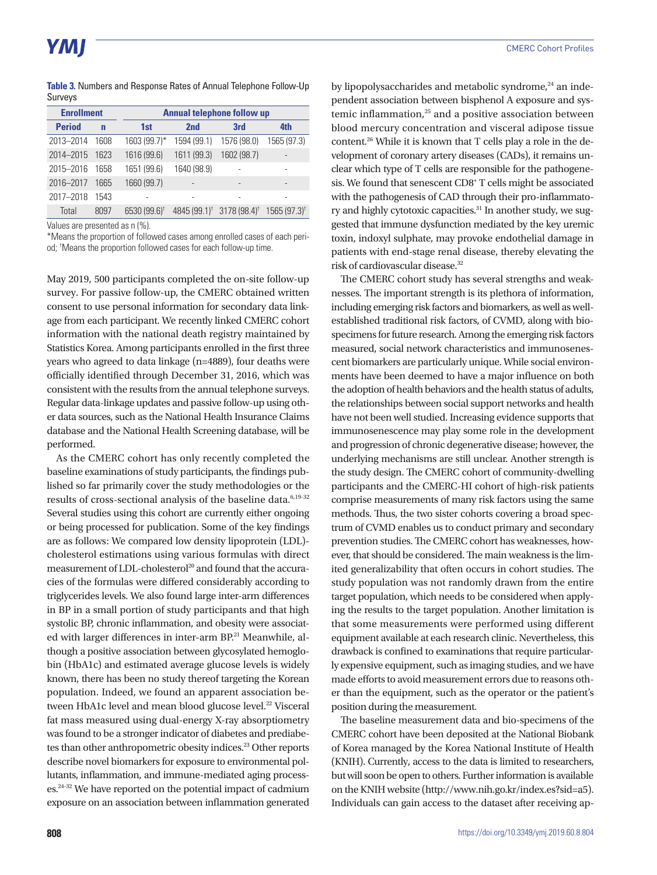**Table 3.** Numbers and Response Rates of Annual Telephone Follow-Up Surveys

| <b>Enrollment</b> |       |                          | <b>Annual telephone follow up</b>                 |             |                           |  |  |
|-------------------|-------|--------------------------|---------------------------------------------------|-------------|---------------------------|--|--|
| <b>Period</b>     | n     | 1st                      | 2 <sub>nd</sub>                                   | 3rd         | 4th                       |  |  |
| 2013-2014         | 1608  | 1603 (99.7)*             | 1594 (99.1)                                       | 1576 (98.0) | 1565 (97.3)               |  |  |
| 2014-2015         | 1623  | 1616 (99.6)              | 1611 (99.3)                                       | 1602 (98.7) |                           |  |  |
| 2015-2016         | 1658  | 1651 (99.6)              | 1640 (98.9)                                       |             |                           |  |  |
| 2016-2017         | 1665  | 1660 (99.7)              |                                                   |             |                           |  |  |
| 2017-2018         | 1543  |                          |                                                   |             |                           |  |  |
| Total             | 80.97 | 6530 (99.6) <sup>†</sup> | 4845 (99.1) <sup>†</sup> 3178 (98.4) <sup>†</sup> |             | $1565(97.3)$ <sup>†</sup> |  |  |

Values are presented as n (%).

\*Means the proportion of followed cases among enrolled cases of each period; † Means the proportion followed cases for each follow-up time.

May 2019, 500 participants completed the on-site follow-up survey. For passive follow-up, the CMERC obtained written consent to use personal information for secondary data linkage from each participant. We recently linked CMERC cohort information with the national death registry maintained by Statistics Korea. Among participants enrolled in the first three years who agreed to data linkage (n=4889), four deaths were officially identified through December 31, 2016, which was consistent with the results from the annual telephone surveys. Regular data-linkage updates and passive follow-up using other data sources, such as the National Health Insurance Claims database and the National Health Screening database, will be performed.

As the CMERC cohort has only recently completed the baseline examinations of study participants, the findings published so far primarily cover the study methodologies or the results of cross-sectional analysis of the baseline data.<sup>6,19-32</sup> Several studies using this cohort are currently either ongoing or being processed for publication. Some of the key findings are as follows: We compared low density lipoprotein (LDL) cholesterol estimations using various formulas with direct measurement of LDL-cholesterol<sup>20</sup> and found that the accuracies of the formulas were differed considerably according to triglycerides levels. We also found large inter-arm differences in BP in a small portion of study participants and that high systolic BP, chronic inflammation, and obesity were associated with larger differences in inter-arm BP.<sup>21</sup> Meanwhile, although a positive association between glycosylated hemoglobin (HbA1c) and estimated average glucose levels is widely known, there has been no study thereof targeting the Korean population. Indeed, we found an apparent association between HbA1c level and mean blood glucose level.<sup>22</sup> Visceral fat mass measured using dual-energy X-ray absorptiometry was found to be a stronger indicator of diabetes and prediabetes than other anthropometric obesity indices.<sup>23</sup> Other reports describe novel biomarkers for exposure to environmental pollutants, inflammation, and immune-mediated aging processes.24-32 We have reported on the potential impact of cadmium exposure on an association between inflammation generated

by lipopolysaccharides and metabolic syndrome, $^{24}$  an independent association between bisphenol A exposure and systemic inflammation,<sup>25</sup> and a positive association between blood mercury concentration and visceral adipose tissue content.26 While it is known that T cells play a role in the development of coronary artery diseases (CADs), it remains unclear which type of T cells are responsible for the pathogenesis. We found that senescent CD8<sup>+</sup> T cells might be associated with the pathogenesis of CAD through their pro-inflammatory and highly cytotoxic capacities.<sup>31</sup> In another study, we suggested that immune dysfunction mediated by the key uremic toxin, indoxyl sulphate, may provoke endothelial damage in patients with end-stage renal disease, thereby elevating the risk of cardiovascular disease.32

The CMERC cohort study has several strengths and weaknesses. The important strength is its plethora of information, including emerging risk factors and biomarkers, as well as wellestablished traditional risk factors, of CVMD, along with biospecimens for future research. Among the emerging risk factors measured, social network characteristics and immunosenescent biomarkers are particularly unique. While social environments have been deemed to have a major influence on both the adoption of health behaviors and the health status of adults, the relationships between social support networks and health have not been well studied. Increasing evidence supports that immunosenescence may play some role in the development and progression of chronic degenerative disease; however, the underlying mechanisms are still unclear. Another strength is the study design. The CMERC cohort of community-dwelling participants and the CMERC-HI cohort of high-risk patients comprise measurements of many risk factors using the same methods. Thus, the two sister cohorts covering a broad spectrum of CVMD enables us to conduct primary and secondary prevention studies. The CMERC cohort has weaknesses, however, that should be considered. The main weakness is the limited generalizability that often occurs in cohort studies. The study population was not randomly drawn from the entire target population, which needs to be considered when applying the results to the target population. Another limitation is that some measurements were performed using different equipment available at each research clinic. Nevertheless, this drawback is confined to examinations that require particularly expensive equipment, such as imaging studies, and we have made efforts to avoid measurement errors due to reasons other than the equipment, such as the operator or the patient's position during the measurement.

The baseline measurement data and bio-specimens of the CMERC cohort have been deposited at the National Biobank of Korea managed by the Korea National Institute of Health (KNIH). Currently, access to the data is limited to researchers, but will soon be open to others. Further information is available on the KNIH website (http://www.nih.go.kr/index.es?sid=a5). Individuals can gain access to the dataset after receiving ap-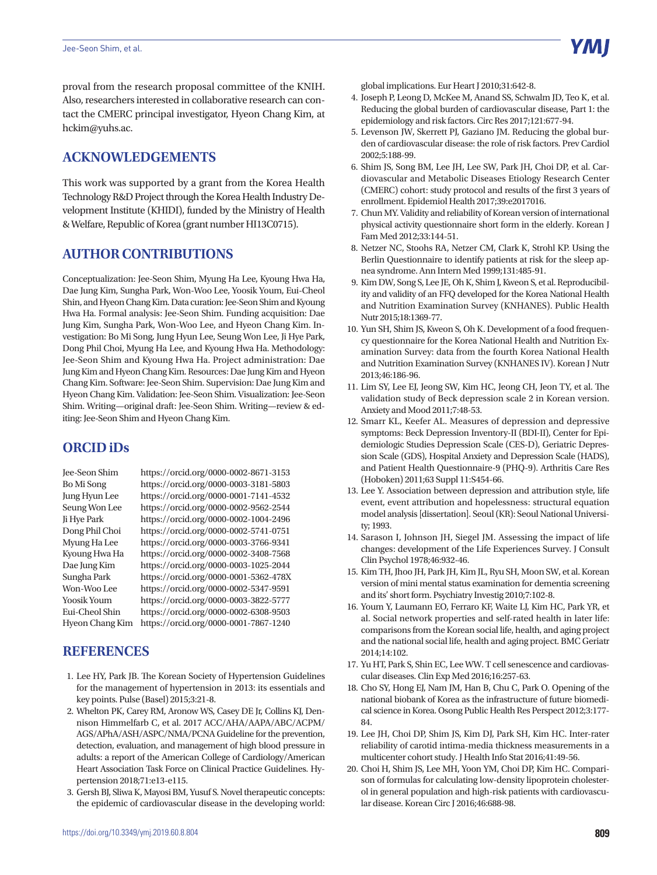proval from the research proposal committee of the KNIH. Also, researchers interested in collaborative research can contact the CMERC principal investigator, Hyeon Chang Kim, at hckim@yuhs.ac.

## **ACKNOWLEDGEMENTS**

This work was supported by a grant from the Korea Health Technology R&D Project through the Korea Health Industry Development Institute (KHIDI), funded by the Ministry of Health & Welfare, Republic of Korea (grant number HI13C0715).

#### **AUTHOR CONTRIBUTIONS**

Conceptualization: Jee-Seon Shim, Myung Ha Lee, Kyoung Hwa Ha, Dae Jung Kim, Sungha Park, Won-Woo Lee, Yoosik Youm, Eui-Cheol Shin, and Hyeon Chang Kim. Data curation: Jee-Seon Shim and Kyoung Hwa Ha. Formal analysis: Jee-Seon Shim. Funding acquisition: Dae Jung Kim, Sungha Park, Won-Woo Lee, and Hyeon Chang Kim. Investigation: Bo Mi Song, Jung Hyun Lee, Seung Won Lee, Ji Hye Park, Dong Phil Choi, Myung Ha Lee, and Kyoung Hwa Ha. Methodology: Jee-Seon Shim and Kyoung Hwa Ha. Project administration: Dae Jung Kim and Hyeon Chang Kim. Resources: Dae Jung Kim and Hyeon Chang Kim. Software: Jee-Seon Shim. Supervision: Dae Jung Kim and Hyeon Chang Kim. Validation: Jee-Seon Shim. Visualization: Jee-Seon Shim. Writing—original draft: Jee-Seon Shim. Writing—review & editing: Jee-Seon Shim and Hyeon Chang Kim.

#### **ORCID iDs**

Jee-Seon Shim https://orcid.org/0000-0002-8671-3153 Bo Mi Song https://orcid.org/0000-0003-3181-5803 Jung Hyun Lee https://orcid.org/0000-0001-7141-4532 Seung Won Lee https://orcid.org/0000-0002-9562-2544 Ji Hye Park https://orcid.org/0000-0002-1004-2496 Dong Phil Choi https://orcid.org/0000-0002-5741-0751 Myung Ha Lee https://orcid.org/0000-0003-3766-9341 Kyoung Hwa Ha https://orcid.org/0000-0002-3408-7568 Dae Jung Kim https://orcid.org/0000-0003-1025-2044 Sungha Park https://orcid.org/0000-0001-5362-478X Won-Woo Lee https://orcid.org/0000-0002-5347-9591 Yoosik Youm https://orcid.org/0000-0003-3822-5777 Eui-Cheol Shin https://orcid.org/0000-0002-6308-9503 Hyeon Chang Kim https://orcid.org/0000-0001-7867-1240

### **REFERENCES**

- 1. Lee HY, Park JB. The Korean Society of Hypertension Guidelines for the management of hypertension in 2013: its essentials and key points. Pulse (Basel) 2015;3:21-8.
- 2. Whelton PK, Carey RM, Aronow WS, Casey DE Jr, Collins KJ, Dennison Himmelfarb C, et al. 2017 ACC/AHA/AAPA/ABC/ACPM/ AGS/APhA/ASH/ASPC/NMA/PCNA Guideline for the prevention, detection, evaluation, and management of high blood pressure in adults: a report of the American College of Cardiology/American Heart Association Task Force on Clinical Practice Guidelines. Hypertension 2018;71:e13-e115.
- 3. Gersh BJ, Sliwa K, Mayosi BM, Yusuf S. Novel therapeutic concepts: the epidemic of cardiovascular disease in the developing world:

global implications. Eur Heart J 2010;31:642-8.

- 4. Joseph P, Leong D, McKee M, Anand SS, Schwalm JD, Teo K, et al. Reducing the global burden of cardiovascular disease, Part 1: the epidemiology and risk factors. Circ Res 2017;121:677-94.
- 5. Levenson JW, Skerrett PJ, Gaziano JM. Reducing the global burden of cardiovascular disease: the role of risk factors. Prev Cardiol 2002;5:188-99.
- 6. Shim JS, Song BM, Lee JH, Lee SW, Park JH, Choi DP, et al. Cardiovascular and Metabolic Diseases Etiology Research Center (CMERC) cohort: study protocol and results of the first 3 years of enrollment. Epidemiol Health 2017;39:e2017016.
- 7. Chun MY. Validity and reliability of Korean version of international physical activity questionnaire short form in the elderly. Korean J Fam Med 2012;33:144-51.
- 8. Netzer NC, Stoohs RA, Netzer CM, Clark K, Strohl KP. Using the Berlin Questionnaire to identify patients at risk for the sleep apnea syndrome. Ann Intern Med 1999;131:485-91.
- 9. Kim DW, Song S, Lee JE, Oh K, Shim J, Kweon S, et al. Reproducibility and validity of an FFQ developed for the Korea National Health and Nutrition Examination Survey (KNHANES). Public Health Nutr 2015;18:1369-77.
- 10. Yun SH, Shim JS, Kweon S, Oh K. Development of a food frequency questionnaire for the Korea National Health and Nutrition Examination Survey: data from the fourth Korea National Health and Nutrition Examination Survey (KNHANES IV). Korean J Nutr 2013;46:186-96.
- 11. Lim SY, Lee EJ, Jeong SW, Kim HC, Jeong CH, Jeon TY, et al. The validation study of Beck depression scale 2 in Korean version. Anxiety and Mood 2011;7:48-53.
- 12. Smarr KL, Keefer AL. Measures of depression and depressive symptoms: Beck Depression Inventory-II (BDI-II), Center for Epidemiologic Studies Depression Scale (CES-D), Geriatric Depression Scale (GDS), Hospital Anxiety and Depression Scale (HADS), and Patient Health Questionnaire-9 (PHQ-9). Arthritis Care Res (Hoboken) 2011;63 Suppl 11:S454-66.
- 13. Lee Y. Association between depression and attribution style, life event, event attribution and hopelessness: structural equation model analysis [dissertation]. Seoul (KR): Seoul National University; 1993.
- 14. Sarason I, Johnson JH, Siegel JM. Assessing the impact of life changes: development of the Life Experiences Survey. J Consult Clin Psychol 1978;46:932-46.
- 15. Kim TH, Jhoo JH, Park JH, Kim JL, Ryu SH, Moon SW, et al. Korean version of mini mental status examination for dementia screening and its' short form. Psychiatry Investig 2010;7:102-8.
- 16. Youm Y, Laumann EO, Ferraro KF, Waite LJ, Kim HC, Park YR, et al. Social network properties and self-rated health in later life: comparisons from the Korean social life, health, and aging project and the national social life, health and aging project. BMC Geriatr 2014;14:102.
- 17. Yu HT, Park S, Shin EC, Lee WW. T cell senescence and cardiovascular diseases. Clin Exp Med 2016;16:257-63.
- 18. Cho SY, Hong EJ, Nam JM, Han B, Chu C, Park O. Opening of the national biobank of Korea as the infrastructure of future biomedical science in Korea. Osong Public Health Res Perspect 2012;3:177- 84.
- 19. Lee JH, Choi DP, Shim JS, Kim DJ, Park SH, Kim HC. Inter-rater reliability of carotid intima-media thickness measurements in a multicenter cohort study. J Health Info Stat 2016;41:49-56.
- 20. Choi H, Shim JS, Lee MH, Yoon YM, Choi DP, Kim HC. Comparison of formulas for calculating low-density lipoprotein cholesterol in general population and high-risk patients with cardiovascular disease. Korean Circ J 2016;46:688-98.